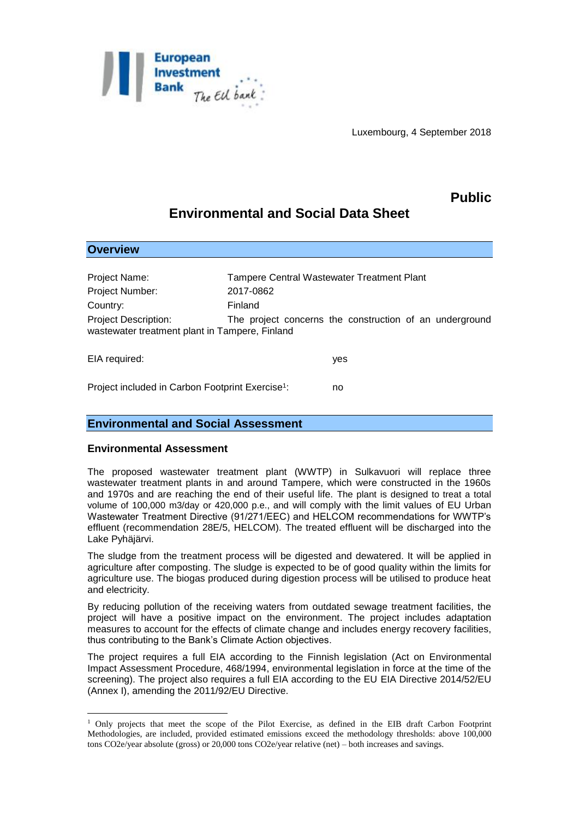

Luxembourg, 4 September 2018

## **Public**

# **Environmental and Social Data Sheet**

| <b>Overview</b>                                                               |           |                                                         |
|-------------------------------------------------------------------------------|-----------|---------------------------------------------------------|
|                                                                               |           |                                                         |
| Project Name:                                                                 |           | <b>Tampere Central Wastewater Treatment Plant</b>       |
| Project Number:                                                               | 2017-0862 |                                                         |
| Country:                                                                      | Finland   |                                                         |
| <b>Project Description:</b><br>wastewater treatment plant in Tampere, Finland |           | The project concerns the construction of an underground |
| EIA required:                                                                 |           | yes                                                     |
| Project included in Carbon Footprint Exercise <sup>1</sup> :                  |           | no                                                      |

## **Environmental and Social Assessment**

#### **Environmental Assessment**

**Overview**

1

The proposed wastewater treatment plant (WWTP) in Sulkavuori will replace three wastewater treatment plants in and around Tampere, which were constructed in the 1960s and 1970s and are reaching the end of their useful life. The plant is designed to treat a total volume of 100,000 m3/day or 420,000 p.e., and will comply with the limit values of EU Urban Wastewater Treatment Directive (91/271/EEC) and HELCOM recommendations for WWTP's effluent (recommendation 28E/5, HELCOM). The treated effluent will be discharged into the Lake Pyhäjärvi.

The sludge from the treatment process will be digested and dewatered. It will be applied in agriculture after composting. The sludge is expected to be of good quality within the limits for agriculture use. The biogas produced during digestion process will be utilised to produce heat and electricity.

By reducing pollution of the receiving waters from outdated sewage treatment facilities, the project will have a positive impact on the environment. The project includes adaptation measures to account for the effects of climate change and includes energy recovery facilities, thus contributing to the Bank's Climate Action objectives.

The project requires a full EIA according to the Finnish legislation (Act on Environmental Impact Assessment Procedure, 468/1994, environmental legislation in force at the time of the screening). The project also requires a full EIA according to the EU EIA Directive 2014/52/EU (Annex I), amending the 2011/92/EU Directive.

<sup>1</sup> Only projects that meet the scope of the Pilot Exercise, as defined in the EIB draft Carbon Footprint Methodologies, are included, provided estimated emissions exceed the methodology thresholds: above 100,000 tons CO2e/year absolute (gross) or 20,000 tons CO2e/year relative (net) – both increases and savings.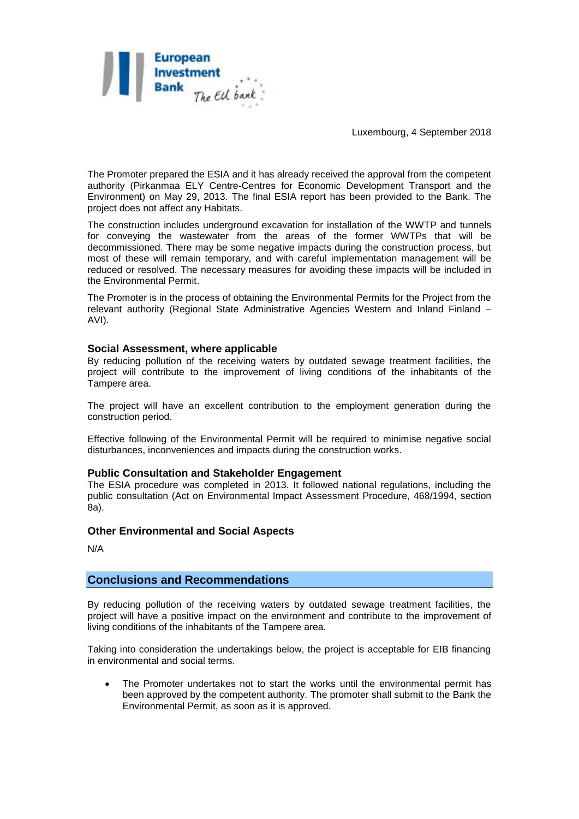

Luxembourg, 4 September 2018

The Promoter prepared the ESIA and it has already received the approval from the competent authority (Pirkanmaa ELY Centre-Centres for Economic Development Transport and the Environment) on May 29, 2013. The final ESIA report has been provided to the Bank. The project does not affect any Habitats.

The construction includes underground excavation for installation of the WWTP and tunnels for conveying the wastewater from the areas of the former WWTPs that will be decommissioned. There may be some negative impacts during the construction process, but most of these will remain temporary, and with careful implementation management will be reduced or resolved. The necessary measures for avoiding these impacts will be included in the Environmental Permit.

The Promoter is in the process of obtaining the Environmental Permits for the Project from the relevant authority (Regional State Administrative Agencies Western and Inland Finland – AVI).

#### **Social Assessment, where applicable**

By reducing pollution of the receiving waters by outdated sewage treatment facilities, the project will contribute to the improvement of living conditions of the inhabitants of the Tampere area.

The project will have an excellent contribution to the employment generation during the construction period.

Effective following of the Environmental Permit will be required to minimise negative social disturbances, inconveniences and impacts during the construction works.

#### **Public Consultation and Stakeholder Engagement**

The ESIA procedure was completed in 2013. It followed national regulations, including the public consultation (Act on Environmental Impact Assessment Procedure, 468/1994, section 8a).

#### **Other Environmental and Social Aspects**

N/A

### **Conclusions and Recommendations**

By reducing pollution of the receiving waters by outdated sewage treatment facilities, the project will have a positive impact on the environment and contribute to the improvement of living conditions of the inhabitants of the Tampere area.

Taking into consideration the undertakings below, the project is acceptable for EIB financing in environmental and social terms.

 The Promoter undertakes not to start the works until the environmental permit has been approved by the competent authority. The promoter shall submit to the Bank the Environmental Permit, as soon as it is approved.